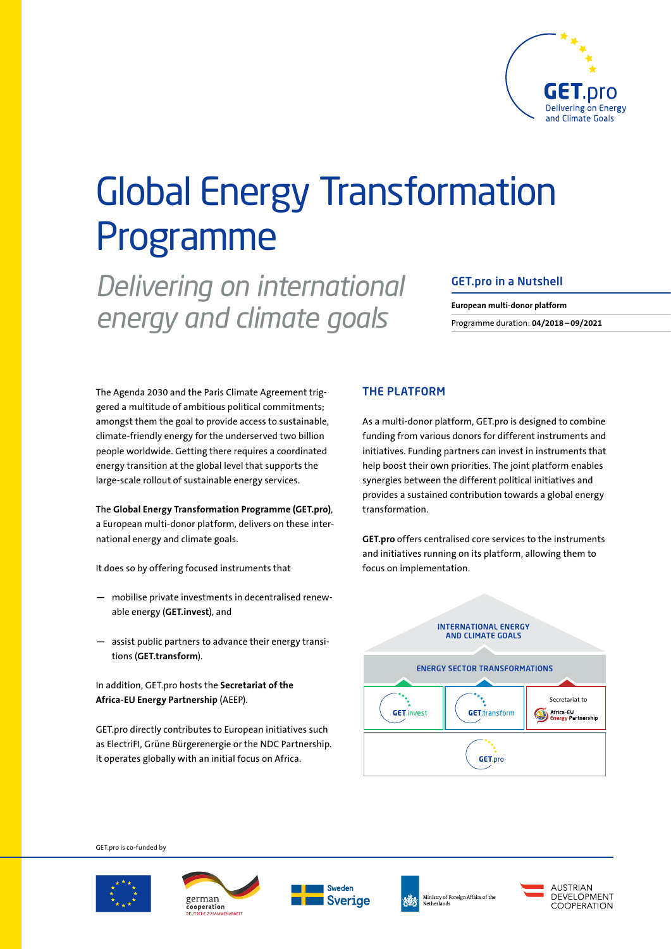

# Global Energy Transformation Programme

*Delivering on international energy and climate goals*

### GET.pro in a Nutshell

**European multi-donor platform**  Programme duration: **04/2018–09/2021**

The Agenda 2030 and the Paris Climate Agreement triggered a multitude of ambitious political commitments; amongst them the goal to provide access to sustainable, climate-friendly energy for the underserved two billion people worldwide. Getting there requires a coordinated energy transition at the global level that supports the large-scale rollout of sustainable energy services.

The **Global Energy Transformation Programme (GET.pro)**, a European multi-donor platform, delivers on these international energy and climate goals.

It does so by offering focused instruments that

- **—** mobilise private investments in decentralised renewable energy (**GET.invest**), and
- **—** assist public partners to advance their energy transitions (**GET.transform**).

In addition, GET.pro hosts the **Secretariat of the Africa-EU Energy Partnership** (AEEP).

GET.pro directly contributes to European initiatives such as ElectriFI, Grüne Bürgerenergie or the NDC Partnership. It operates globally with an initial focus on Africa.

## THE PLATFORM

As a multi-donor platform, GET.pro is designed to combine funding from various donors for different instruments and initiatives. Funding partners can invest in instruments that help boost their own priorities. The joint platform enables synergies between the different political initiatives and provides a sustained contribution towards a global energy transformation.

**GET.pro** offers centralised core services to the instruments and initiatives running on its platform, allowing them to focus on implementation.



GET.pro is co-funded by GET.pro is co-funded by